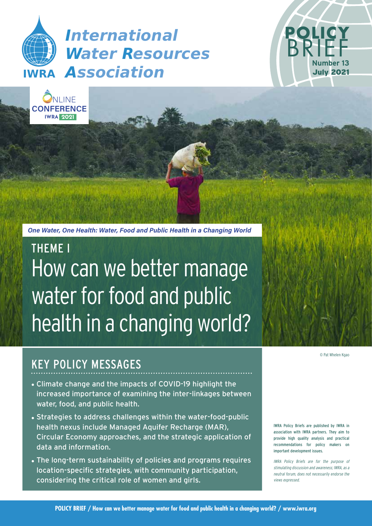





How can we better manage water for food and public health in a changing world? THEME I

# KEY POLICY MESSAGES

- Climate change and the impacts of COVID-19 highlight the increased importance of examining the inter-linkages between water, food, and public health.
- Strategies to address challenges within the water-food-public health nexus include Managed Aquifer Recharge (MAR), Circular Economy approaches, and the strategic application of data and information.
- The long-term sustainability of policies and programs requires location-specific strategies, with community participation, considering the critical role of women and girls.

© Pat Whelen Kgao

**POLICY** 

BRIEF

**Number 13** July 2021

IWRA Policy Briefs are published by IWRA in association with IWRA partners. They aim to provide high quality analysis and practical recommendations for policy makers on important development issues.

IWRA Policy Briefs are for the purpose of stimulating discussion and awareness; IWRA, as a neutral forum, does not necessarily endorse the views expressed.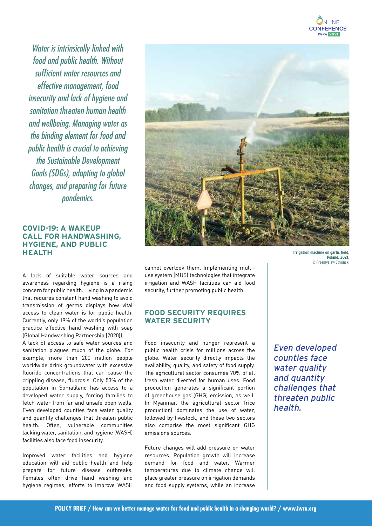

Water is intrinsically linked with food and public health. Without sufficient water resources and effective management, food insecurity and lack of hygiene and sanitation threaten human health and wellbeing. Managing water as the binding element for food and public health is crucial to achieving the Sustainable Development Goals (SDGs), adapting to global changes, and preparing for future pandemics.

### **COVID-19: A WAKEUP CALL FOR HANDWASHING, HYGIENE, AND PUBLIC HEALTH**

A lack of suitable water sources and awareness regarding hygiene is a rising concern for public health. Living in a pandemic that requires constant hand washing to avoid transmission of germs displays how vital access to clean water is for public health. Currently, only 19% of the world's population practice effective hand washing with soap (Global Handwashing Partnership (2020)).

A lack of access to safe water sources and sanitation plagues much of the globe. For example, more than 200 million people worldwide drink groundwater with excessive fluoride concentrations that can cause the crippling disease, fluorosis. Only 53% of the population in Somaliland has access to a developed water supply, forcing families to fetch water from far and unsafe open wells. Even developed counties face water quality and quantity challenges that threaten public health. Often, vulnerable communities lacking water, sanitation, and hygiene (WASH) facilities also face food insecurity.

Improved water facilities and hygiene education will aid public health and help prepare for future disease outbreaks. Females often drive hand washing and hygiene regimes; efforts to improve WASH



cannot overlook them. Implementing multiuse system (MUS) technologies that integrate irrigation and WASH facilities can aid food security, further promoting public health.

### **FOOD SECURITY REQUIRES WATER SECURITY**

Food insecurity and hunger represent a public health crisis for millions across the globe. Water security directly impacts the availability, quality, and safety of food supply. The agricultural sector consumes 70% of all fresh water diverted for human uses. Food production generates a significant portion of greenhouse gas (GHG) emission, as well. In Myanmar, the agricultural sector (rice production) dominates the use of water, followed by livestock, and these two sectors also comprise the most significant GHG emissions sources.

Future changes will add pressure on water resources. Population growth will increase demand for food and water. Warmer temperatures due to climate change will place greater pressure on irrigation demands and food supply systems, while an increase

Even developed counties face water quality and quantity challenges that threaten public health.

**Poland, 2021.**  © Przemyslaw Stroinski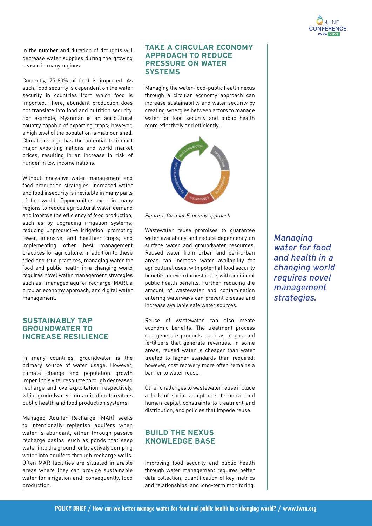

in the number and duration of droughts will decrease water supplies during the growing season in many regions.

Currently, 75-80% of food is imported. As such, food security is dependent on the water security in countries from which food is imported. There, abundant production does not translate into food and nutrition security. For example, Myanmar is an agricultural country capable of exporting crops; however, a high level of the population is malnourished. Climate change has the potential to impact major exporting nations and world market prices, resulting in an increase in risk of hunger in low income nations.

Without innovative water management and food production strategies, increased water and food insecurity is inevitable in many parts of the world. Opportunities exist in many regions to reduce agricultural water demand and improve the efficiency of food production, such as by upgrading irrigation systems; reducing unproductive irrigation; promoting fewer, intensive, and healthier crops; and implementing other best management practices for agriculture. In addition to these tried and true practices, managing water for food and public health in a changing world requires novel water management strategies such as: managed aquifer recharge (MAR), a circular economy approach, and digital water management.

#### **SUSTAINABLY TAP GROUNDWATER TO INCREASE RESILIENCE**

In many countries, groundwater is the primary source of water usage. However, climate change and population growth imperil this vital resource through decreased recharge and overexploitation, respectively, while groundwater contamination threatens public health and food production systems.

Managed Aquifer Recharge (MAR) seeks to intentionally replenish aquifers when water is abundant, either through passive recharge basins, such as ponds that seep water into the ground, or by actively pumping water into aquifers through recharge wells. Often MAR facilities are situated in arable areas where they can provide sustainable water for irrigation and, consequently, food production.

#### **TAKE A CIRCULAR ECONOMY APPROACH TO REDUCE PRESSURE ON WATER SYSTEMS**

Managing the water-food-public health nexus through a circular economy approach can increase sustainability and water security by creating synergies between actors to manage water for food security and public health more effectively and efficiently.



*Figure 1. Circular Economy approach*

Wastewater reuse promises to guarantee water availability and reduce dependency on surface water and groundwater resources. Reused water from urban and peri-urban areas can increase water availability for agricultural uses, with potential food security benefits, or even domestic use, with additional public health benefits. Further, reducing the amount of wastewater and contamination entering waterways can prevent disease and increase available safe water sources.

Reuse of wastewater can also create economic benefits. The treatment process can generate products such as biogas and fertilizers that generate revenues. In some areas, reused water is cheaper than water treated to higher standards than required; however, cost recovery more often remains a barrier to water reuse.

Other challenges to wastewater reuse include a lack of social acceptance, technical and human capital constraints to treatment and distribution, and policies that impede reuse.

## **BUILD THE NEXUS KNOWLEDGE BASE**

Improving food security and public health through water management requires better data collection, quantification of key metrics and relationships, and long-term monitoring. Managing water for food and health in a changing world requires novel management strategies.